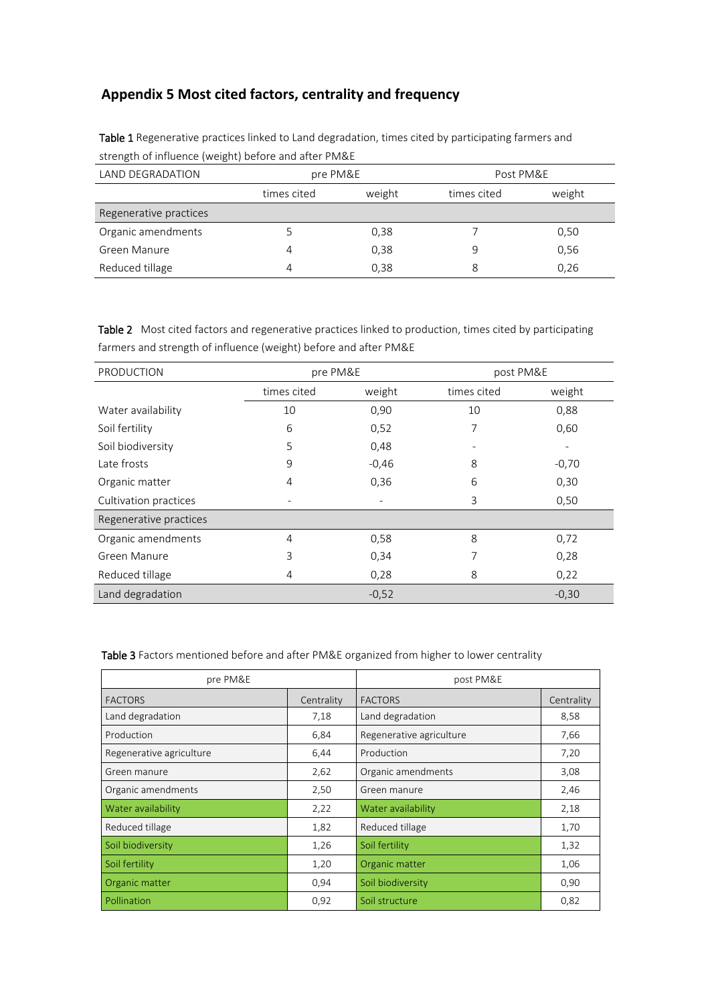## **Appendix 5 Most cited factors, centrality and frequency**

| LAND DEGRADATION       |             | pre PM&E |             | Post PM&E |  |
|------------------------|-------------|----------|-------------|-----------|--|
|                        | times cited | weight   | times cited | weight    |  |
| Regenerative practices |             |          |             |           |  |
| Organic amendments     |             | 0,38     |             | 0,50      |  |
| Green Manure           | 4           | 0,38     | 9           | 0,56      |  |
| Reduced tillage        | 4           | 0,38     | 8           | 0,26      |  |

Table 1 Regenerative practices linked to Land degradation, times cited by participating farmers and strength of influence (weight) before and after PM&E

Table 2 Most cited factors and regenerative practices linked to production, times cited by participating farmers and strength of influence (weight) before and after PM&E

| PRODUCTION             | pre PM&E    |         | post PM&E   |         |
|------------------------|-------------|---------|-------------|---------|
|                        | times cited | weight  | times cited | weight  |
| Water availability     | 10          | 0,90    | 10          | 0,88    |
| Soil fertility         | 6           | 0,52    | 7           | 0,60    |
| Soil biodiversity      | 5           | 0,48    |             |         |
| Late frosts            | 9           | $-0,46$ | 8           | $-0,70$ |
| Organic matter         | 4           | 0,36    | 6           | 0,30    |
| Cultivation practices  |             |         | 3           | 0,50    |
| Regenerative practices |             |         |             |         |
| Organic amendments     | 4           | 0,58    | 8           | 0,72    |
| Green Manure           | 3           | 0,34    | 7           | 0,28    |
| Reduced tillage        | 4           | 0,28    | 8           | 0,22    |
| Land degradation       |             | $-0,52$ |             | $-0,30$ |

## Table 3 Factors mentioned before and after PM&E organized from higher to lower centrality

| pre PM&E                 |            | post PM&E                |            |  |
|--------------------------|------------|--------------------------|------------|--|
| <b>FACTORS</b>           | Centrality | <b>FACTORS</b>           | Centrality |  |
| Land degradation         | 7,18       | Land degradation         | 8,58       |  |
| Production               | 6,84       | Regenerative agriculture | 7,66       |  |
| Regenerative agriculture | 6,44       | Production               | 7,20       |  |
| Green manure             | 2,62       | Organic amendments       | 3,08       |  |
| Organic amendments       | 2,50       | Green manure             | 2,46       |  |
| Water availability       | 2,22       | Water availability       | 2,18       |  |
| Reduced tillage          | 1,82       | Reduced tillage          | 1,70       |  |
| Soil biodiversity        | 1,26       | Soil fertility           | 1,32       |  |
| Soil fertility           | 1,20       | Organic matter           | 1,06       |  |
| Organic matter           | 0,94       | Soil biodiversity        | 0,90       |  |
| Pollination              | 0,92       | Soil structure           | 0,82       |  |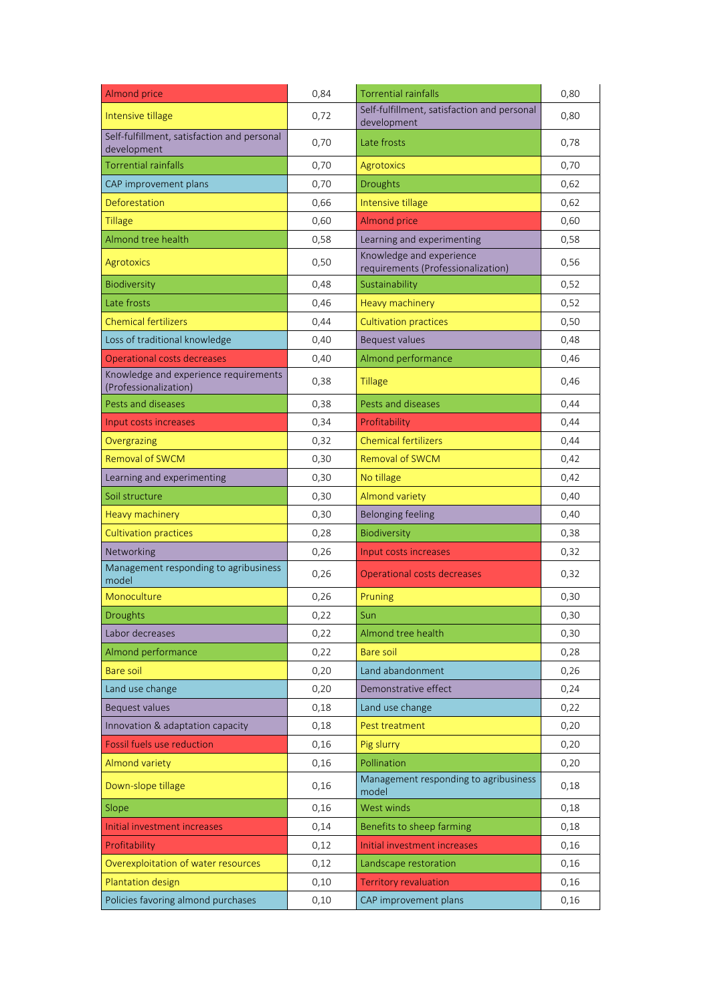| <b>Almond price</b>                                            | 0,84 | <b>Torrential rainfalls</b>                                    | 0,80 |
|----------------------------------------------------------------|------|----------------------------------------------------------------|------|
| Intensive tillage                                              | 0,72 | Self-fulfillment, satisfaction and personal<br>development     | 0,80 |
| Self-fulfillment, satisfaction and personal<br>development     | 0,70 | Late frosts                                                    | 0,78 |
| <b>Torrential rainfalls</b>                                    | 0,70 | Agrotoxics                                                     | 0,70 |
| CAP improvement plans                                          | 0,70 | <b>Droughts</b>                                                | 0,62 |
| Deforestation                                                  | 0,66 | Intensive tillage                                              | 0,62 |
| <b>Tillage</b>                                                 | 0,60 | <b>Almond price</b>                                            | 0,60 |
| Almond tree health                                             | 0,58 | Learning and experimenting                                     | 0,58 |
| <b>Agrotoxics</b>                                              | 0,50 | Knowledge and experience<br>requirements (Professionalization) | 0,56 |
| Biodiversity                                                   | 0,48 | Sustainability                                                 | 0,52 |
| Late frosts                                                    | 0,46 | <b>Heavy machinery</b>                                         | 0,52 |
| <b>Chemical fertilizers</b>                                    | 0,44 | <b>Cultivation practices</b>                                   | 0,50 |
| Loss of traditional knowledge                                  | 0,40 | Bequest values                                                 | 0,48 |
| <b>Operational costs decreases</b>                             | 0,40 | Almond performance                                             | 0,46 |
| Knowledge and experience requirements<br>(Professionalization) | 0,38 | <b>Tillage</b>                                                 | 0,46 |
| Pests and diseases                                             | 0,38 | Pests and diseases                                             | 0,44 |
| Input costs increases                                          | 0,34 | Profitability                                                  | 0,44 |
| Overgrazing                                                    | 0,32 | <b>Chemical fertilizers</b>                                    | 0,44 |
| <b>Removal of SWCM</b>                                         | 0,30 | Removal of SWCM                                                | 0,42 |
| Learning and experimenting                                     | 0,30 | No tillage                                                     | 0,42 |
| Soil structure                                                 | 0,30 | <b>Almond variety</b>                                          | 0,40 |
| Heavy machinery                                                | 0,30 | <b>Belonging feeling</b>                                       | 0,40 |
| <b>Cultivation practices</b>                                   | 0,28 | Biodiversity                                                   | 0,38 |
| Networking                                                     | 0,26 | Input costs increases                                          | 0,32 |
| Management responding to agribusiness<br>model                 | 0,26 | Operational costs decreases                                    | 0,32 |
| Monoculture                                                    | 0,26 | Pruning                                                        | 0,30 |
| <b>Droughts</b>                                                | 0,22 | Sun                                                            | 0,30 |
| Labor decreases                                                | 0,22 | Almond tree health                                             | 0,30 |
| Almond performance                                             | 0,22 | Bare soil                                                      | 0,28 |
| <b>Bare soil</b>                                               | 0,20 | Land abandonment                                               | 0,26 |
| Land use change                                                | 0,20 | Demonstrative effect                                           | 0,24 |
| Bequest values                                                 | 0,18 | Land use change                                                | 0,22 |
| Innovation & adaptation capacity                               | 0,18 | Pest treatment                                                 | 0,20 |
| <b>Fossil fuels use reduction</b>                              | 0,16 | Pig slurry                                                     | 0,20 |
| <b>Almond variety</b>                                          | 0,16 | Pollination                                                    | 0,20 |
| Down-slope tillage                                             | 0,16 | Management responding to agribusiness<br>model                 | 0,18 |
| Slope                                                          | 0,16 | West winds                                                     | 0,18 |
| Initial investment increases                                   | 0,14 | Benefits to sheep farming                                      | 0,18 |
| Profitability                                                  | 0,12 | Initial investment increases                                   | 0,16 |
| Overexploitation of water resources                            | 0,12 | Landscape restoration                                          | 0,16 |
| <b>Plantation design</b>                                       | 0,10 | <b>Territory revaluation</b>                                   | 0,16 |
| Policies favoring almond purchases                             | 0,10 | CAP improvement plans                                          | 0,16 |